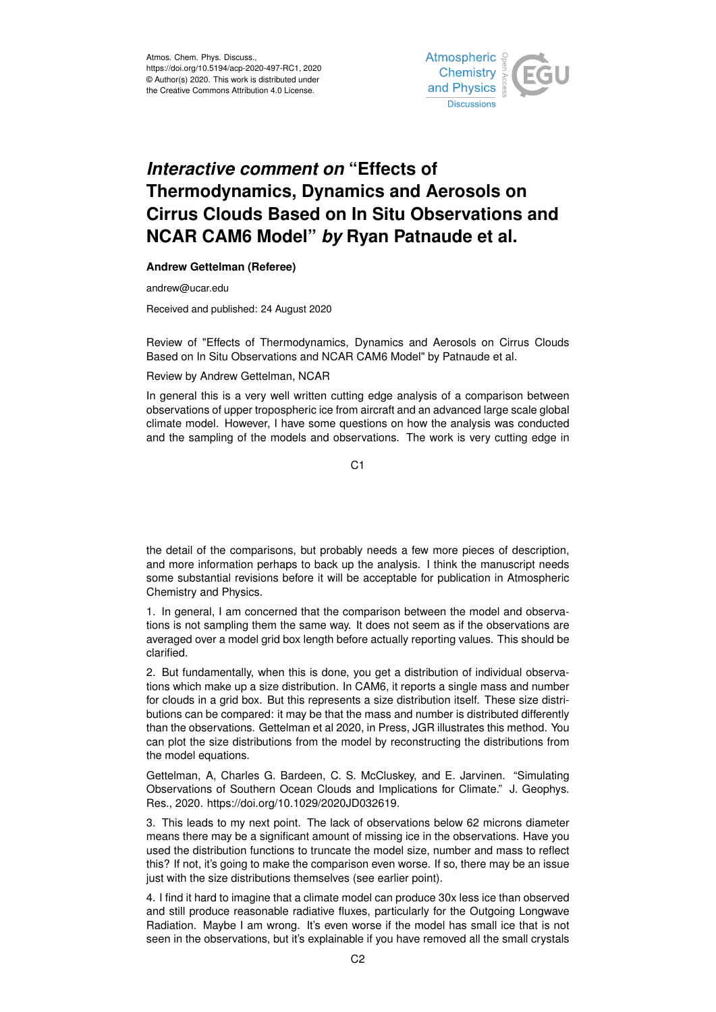

## *Interactive comment on* **"Effects of Thermodynamics, Dynamics and Aerosols on Cirrus Clouds Based on In Situ Observations and NCAR CAM6 Model"** *by* **Ryan Patnaude et al.**

**Andrew Gettelman (Referee)**

andrew@ucar.edu

Received and published: 24 August 2020

Review of "Effects of Thermodynamics, Dynamics and Aerosols on Cirrus Clouds Based on In Situ Observations and NCAR CAM6 Model" by Patnaude et al.

## Review by Andrew Gettelman, NCAR

In general this is a very well written cutting edge analysis of a comparison between observations of upper tropospheric ice from aircraft and an advanced large scale global climate model. However, I have some questions on how the analysis was conducted and the sampling of the models and observations. The work is very cutting edge in

C<sub>1</sub>

the detail of the comparisons, but probably needs a few more pieces of description, and more information perhaps to back up the analysis. I think the manuscript needs some substantial revisions before it will be acceptable for publication in Atmospheric Chemistry and Physics.

1. In general, I am concerned that the comparison between the model and observations is not sampling them the same way. It does not seem as if the observations are averaged over a model grid box length before actually reporting values. This should be clarified.

2. But fundamentally, when this is done, you get a distribution of individual observations which make up a size distribution. In CAM6, it reports a single mass and number for clouds in a grid box. But this represents a size distribution itself. These size distributions can be compared: it may be that the mass and number is distributed differently than the observations. Gettelman et al 2020, in Press, JGR illustrates this method. You can plot the size distributions from the model by reconstructing the distributions from the model equations.

Gettelman, A, Charles G. Bardeen, C. S. McCluskey, and E. Jarvinen. "Simulating Observations of Southern Ocean Clouds and Implications for Climate." J. Geophys. Res., 2020. https://doi.org/10.1029/2020JD032619.

3. This leads to my next point. The lack of observations below 62 microns diameter means there may be a significant amount of missing ice in the observations. Have you used the distribution functions to truncate the model size, number and mass to reflect this? If not, it's going to make the comparison even worse. If so, there may be an issue just with the size distributions themselves (see earlier point).

4. I find it hard to imagine that a climate model can produce 30x less ice than observed and still produce reasonable radiative fluxes, particularly for the Outgoing Longwave Radiation. Maybe I am wrong. It's even worse if the model has small ice that is not seen in the observations, but it's explainable if you have removed all the small crystals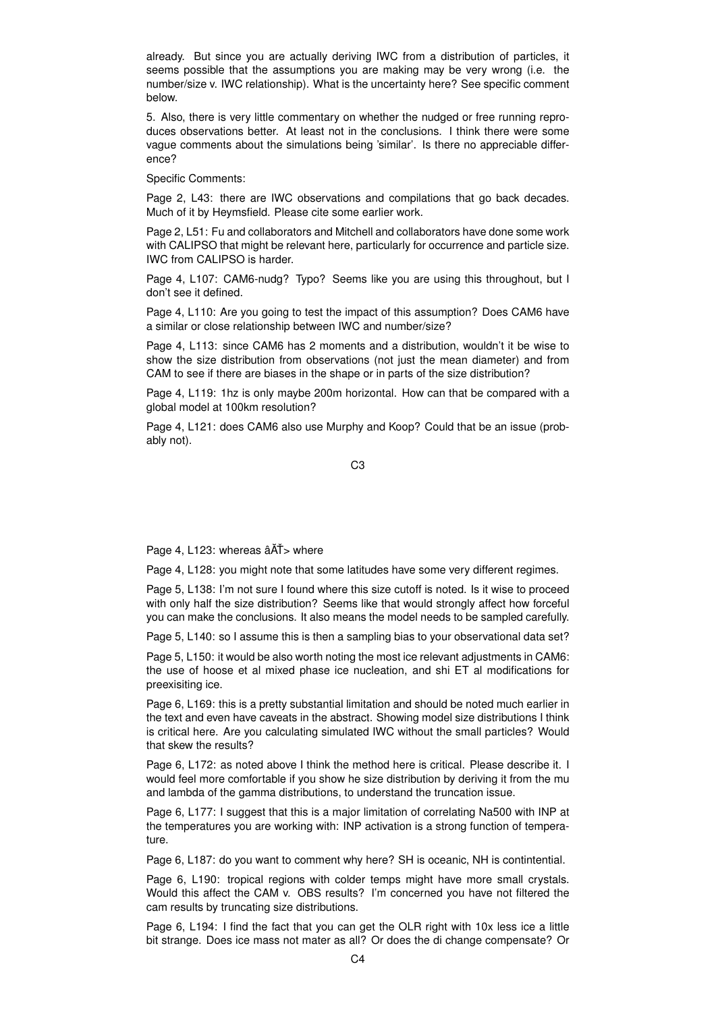already. But since you are actually deriving IWC from a distribution of particles, it seems possible that the assumptions you are making may be very wrong (i.e. the number/size v. IWC relationship). What is the uncertainty here? See specific comment below.

5. Also, there is very little commentary on whether the nudged or free running reproduces observations better. At least not in the conclusions. I think there were some vague comments about the simulations being 'similar'. Is there no appreciable difference?

Specific Comments:

Page 2, L43: there are IWC observations and compilations that go back decades. Much of it by Heymsfield. Please cite some earlier work.

Page 2, L51: Fu and collaborators and Mitchell and collaborators have done some work with CALIPSO that might be relevant here, particularly for occurrence and particle size. IWC from CALIPSO is harder.

Page 4, L107: CAM6-nudg? Typo? Seems like you are using this throughout, but I don't see it defined.

Page 4, L110: Are you going to test the impact of this assumption? Does CAM6 have a similar or close relationship between IWC and number/size?

Page 4, L113: since CAM6 has 2 moments and a distribution, wouldn't it be wise to show the size distribution from observations (not just the mean diameter) and from CAM to see if there are biases in the shape or in parts of the size distribution?

Page 4, L119: 1hz is only maybe 200m horizontal. How can that be compared with a global model at 100km resolution?

Page 4, L121: does CAM6 also use Murphy and Koop? Could that be an issue (probably not).

C3

Page 4, L123: whereas  $\hat{a}$  $\check{A}$  $\check{I}$  > where

Page 4, L128: you might note that some latitudes have some very different regimes.

Page 5, L138: I'm not sure I found where this size cutoff is noted. Is it wise to proceed with only half the size distribution? Seems like that would strongly affect how forceful you can make the conclusions. It also means the model needs to be sampled carefully.

Page 5, L140: so I assume this is then a sampling bias to your observational data set?

Page 5, L150: it would be also worth noting the most ice relevant adjustments in CAM6: the use of hoose et al mixed phase ice nucleation, and shi ET al modifications for preexisiting ice.

Page 6, L169: this is a pretty substantial limitation and should be noted much earlier in the text and even have caveats in the abstract. Showing model size distributions I think is critical here. Are you calculating simulated IWC without the small particles? Would that skew the results?

Page 6, L172: as noted above I think the method here is critical. Please describe it. I would feel more comfortable if you show he size distribution by deriving it from the mu and lambda of the gamma distributions, to understand the truncation issue.

Page 6, L177: I suggest that this is a major limitation of correlating Na500 with INP at the temperatures you are working with: INP activation is a strong function of temperature.

Page 6, L187: do you want to comment why here? SH is oceanic, NH is contintential.

Page 6, L190: tropical regions with colder temps might have more small crystals. Would this affect the CAM v. OBS results? I'm concerned you have not filtered the cam results by truncating size distributions.

Page 6, L194: I find the fact that you can get the OLR right with 10x less ice a little bit strange. Does ice mass not mater as all? Or does the di change compensate? Or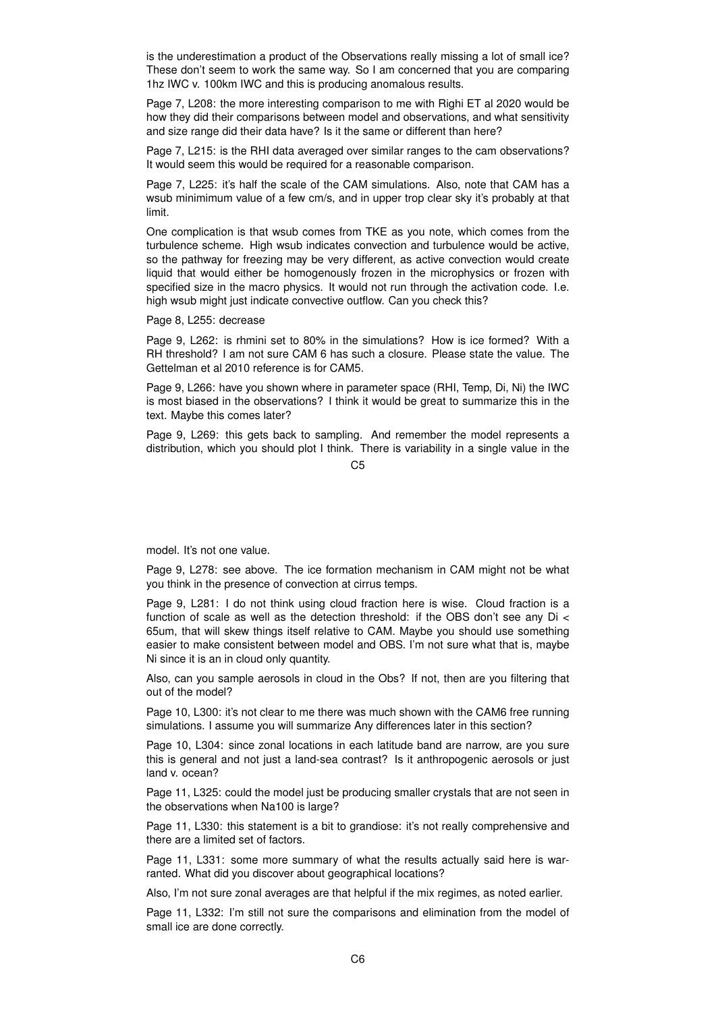is the underestimation a product of the Observations really missing a lot of small ice? These don't seem to work the same way. So I am concerned that you are comparing 1hz IWC v. 100km IWC and this is producing anomalous results.

Page 7, L208: the more interesting comparison to me with Righi ET al 2020 would be how they did their comparisons between model and observations, and what sensitivity and size range did their data have? Is it the same or different than here?

Page 7, L215: is the RHI data averaged over similar ranges to the cam observations? It would seem this would be required for a reasonable comparison.

Page 7, L225: it's half the scale of the CAM simulations. Also, note that CAM has a wsub minimimum value of a few cm/s, and in upper trop clear sky it's probably at that limit.

One complication is that wsub comes from TKE as you note, which comes from the turbulence scheme. High wsub indicates convection and turbulence would be active, so the pathway for freezing may be very different, as active convection would create liquid that would either be homogenously frozen in the microphysics or frozen with specified size in the macro physics. It would not run through the activation code. I.e. high wsub might just indicate convective outflow. Can you check this?

Page 8, L255: decrease

Page 9, L262: is rhmini set to 80% in the simulations? How is ice formed? With a RH threshold? I am not sure CAM 6 has such a closure. Please state the value. The Gettelman et al 2010 reference is for CAM5.

Page 9, L266: have you shown where in parameter space (RHI, Temp, Di, Ni) the IWC is most biased in the observations? I think it would be great to summarize this in the text. Maybe this comes later?

Page 9, L269: this gets back to sampling. And remember the model represents a distribution, which you should plot I think. There is variability in a single value in the

 $C<sub>5</sub>$ 

model. It's not one value.

Page 9, L278: see above. The ice formation mechanism in CAM might not be what you think in the presence of convection at cirrus temps.

Page 9, L281: I do not think using cloud fraction here is wise. Cloud fraction is a function of scale as well as the detection threshold: if the OBS don't see any  $Di \le$ 65um, that will skew things itself relative to CAM. Maybe you should use something easier to make consistent between model and OBS. I'm not sure what that is, maybe Ni since it is an in cloud only quantity.

Also, can you sample aerosols in cloud in the Obs? If not, then are you filtering that out of the model?

Page 10, L300: it's not clear to me there was much shown with the CAM6 free running simulations. I assume you will summarize Any differences later in this section?

Page 10, L304: since zonal locations in each latitude band are narrow, are you sure this is general and not just a land-sea contrast? Is it anthropogenic aerosols or just land v. ocean?

Page 11, L325: could the model just be producing smaller crystals that are not seen in the observations when Na100 is large?

Page 11, L330: this statement is a bit to grandiose: it's not really comprehensive and there are a limited set of factors.

Page 11, L331: some more summary of what the results actually said here is warranted. What did you discover about geographical locations?

Also, I'm not sure zonal averages are that helpful if the mix regimes, as noted earlier.

Page 11, L332: I'm still not sure the comparisons and elimination from the model of small ice are done correctly.